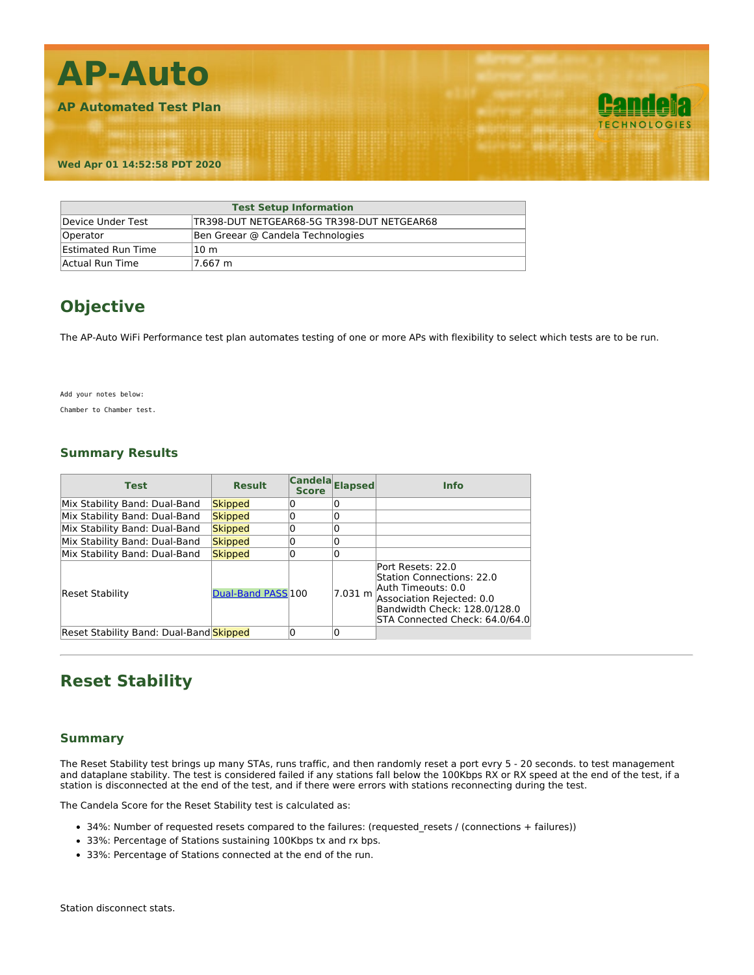

| <b>Test Setup Information</b> |                                            |  |  |
|-------------------------------|--------------------------------------------|--|--|
| Device Under Test             | TR398-DUT NETGEAR68-5G TR398-DUT NETGEAR68 |  |  |
| Operator                      | Ben Greear @ Candela Technologies          |  |  |
| <b>Estimated Run Time</b>     | 10 <sub>m</sub>                            |  |  |
| Actual Run Time               | 7.667 m                                    |  |  |

# **Objective**

The AP-Auto WiFi Performance test plan automates testing of one or more APs with flexibility to select which tests are to be run.

Add your notes below:

Chamber to Chamber test.

### **Summary Results**

| <b>Test</b>                             | <b>Result</b>      | Candela Elapsed<br><b>Score</b> |         | <b>Info</b>                                                                                                                                                         |
|-----------------------------------------|--------------------|---------------------------------|---------|---------------------------------------------------------------------------------------------------------------------------------------------------------------------|
| Mix Stability Band: Dual-Band           | Skipped            |                                 |         |                                                                                                                                                                     |
| Mix Stability Band: Dual-Band           | Skipped            |                                 |         |                                                                                                                                                                     |
| Mix Stability Band: Dual-Band           | Skipped            | 0                               | 0       |                                                                                                                                                                     |
| Mix Stability Band: Dual-Band           | Skipped            |                                 | 0       |                                                                                                                                                                     |
| Mix Stability Band: Dual-Band           | Skipped            | 0                               | 0       |                                                                                                                                                                     |
| Reset Stability                         | Dual-Band PASS 100 |                                 | 7.031 m | Port Resets: 22.0<br>Station Connections: 22.0<br>Auth Timeouts: 0.0<br>Association Rejected: 0.0<br>Bandwidth Check: 128.0/128.0<br>STA Connected Check: 64.0/64.0 |
| Reset Stability Band: Dual-Band Skipped |                    | 0                               | 0       |                                                                                                                                                                     |

### **Reset Stability**

#### **Summary**

The Reset Stability test brings up many STAs, runs traffic, and then randomly reset a port evry 5 - 20 seconds. to test management and dataplane stability. The test is considered failed if any stations fall below the 100Kbps RX or RX speed at the end of the test, if a station is disconnected at the end of the test, and if there were errors with stations reconnecting during the test.

The Candela Score for the Reset Stability test is calculated as:

- 34%: Number of requested resets compared to the failures: (requested\_resets / (connections + failures))
- 33%: Percentage of Stations sustaining 100Kbps tx and rx bps.
- 33%: Percentage of Stations connected at the end of the run.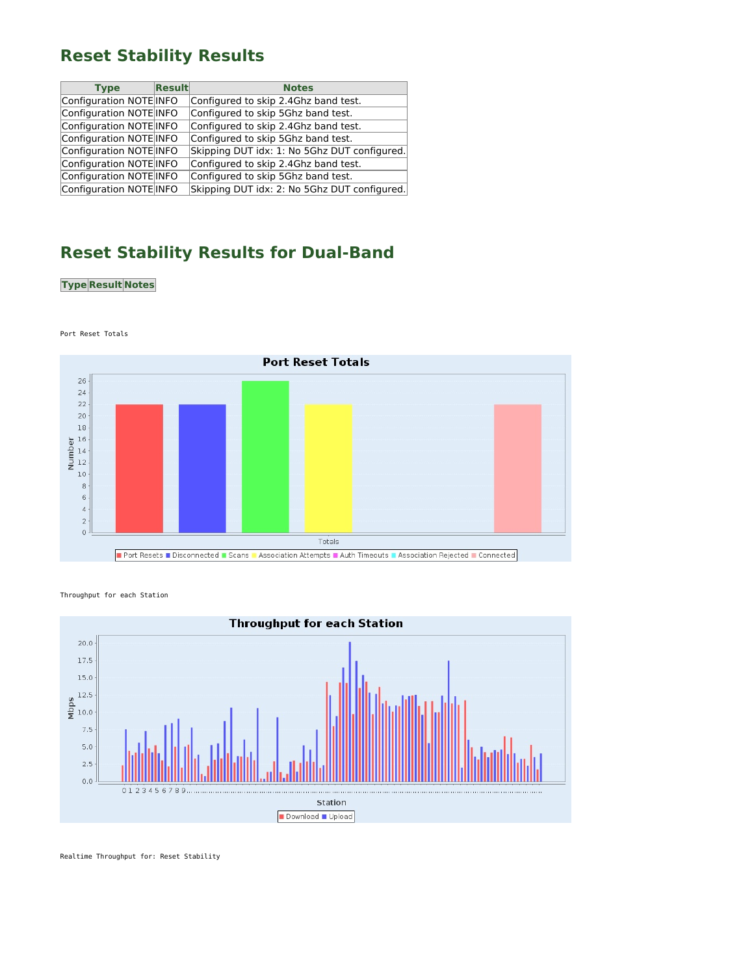## **Reset Stability Results**

| <b>Type</b>             | $\sf Result$ | <b>Notes</b>                                 |
|-------------------------|--------------|----------------------------------------------|
| Configuration NOTE INFO |              | Configured to skip 2.4Ghz band test.         |
| Configuration NOTE INFO |              | Configured to skip 5Ghz band test.           |
| Configuration NOTE INFO |              | Configured to skip 2.4Ghz band test.         |
| Configuration NOTE INFO |              | Configured to skip 5Ghz band test.           |
| Configuration NOTE INFO |              | Skipping DUT idx: 1: No 5Ghz DUT configured. |
| Configuration NOTE INFO |              | Configured to skip 2.4Ghz band test.         |
| Configuration NOTE INFO |              | Configured to skip 5Ghz band test.           |
| Configuration NOTE INFO |              | Skipping DUT idx: 2: No 5Ghz DUT configured. |

# **Reset Stability Results for Dual-Band**

### **Type Result Notes**



Port Reset Totals





Realtime Throughput for: Reset Stability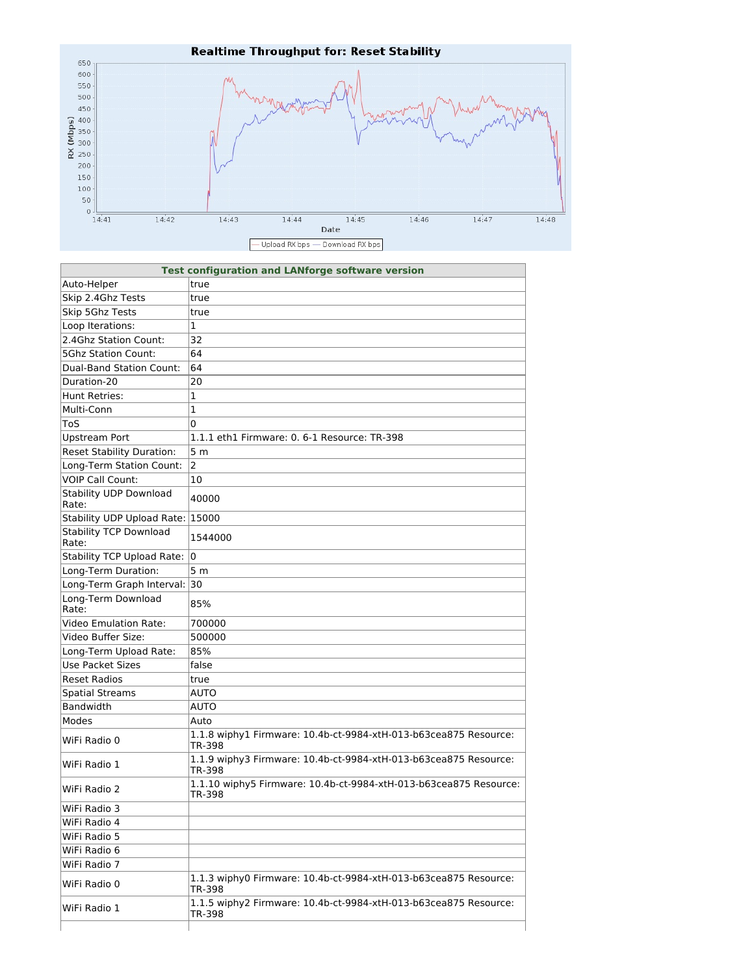

| <b>Test configuration and LANforge software version</b> |                                                                             |  |  |
|---------------------------------------------------------|-----------------------------------------------------------------------------|--|--|
| Auto-Helper                                             | true                                                                        |  |  |
| Skip 2.4Ghz Tests                                       | true                                                                        |  |  |
| Skip 5Ghz Tests                                         | true                                                                        |  |  |
| Loop Iterations:                                        | 1                                                                           |  |  |
| 2.4Ghz Station Count:                                   | 32                                                                          |  |  |
| <b>5Ghz Station Count:</b>                              | 64                                                                          |  |  |
| <b>Dual-Band Station Count:</b>                         | 64                                                                          |  |  |
| Duration-20                                             | 20                                                                          |  |  |
| Hunt Retries:                                           | $\mathbf{1}$                                                                |  |  |
| Multi-Conn                                              | $\mathbf{1}$                                                                |  |  |
| ToS                                                     | 0                                                                           |  |  |
| <b>Upstream Port</b>                                    | 1.1.1 eth1 Firmware: 0. 6-1 Resource: TR-398                                |  |  |
| <b>Reset Stability Duration:</b>                        | 5 <sub>m</sub>                                                              |  |  |
| Long-Term Station Count:                                | $\overline{2}$                                                              |  |  |
| <b>VOIP Call Count:</b>                                 | 10                                                                          |  |  |
| <b>Stability UDP Download</b><br>Rate:                  | 40000                                                                       |  |  |
| Stability UDP Upload Rate: 15000                        |                                                                             |  |  |
| <b>Stability TCP Download</b><br>Rate:                  | 1544000                                                                     |  |  |
| <b>Stability TCP Upload Rate:</b>                       | l0                                                                          |  |  |
| Long-Term Duration:                                     | 5 <sub>m</sub>                                                              |  |  |
| Long-Term Graph Interval: 30                            |                                                                             |  |  |
| Long-Term Download<br>Rate:                             | 85%                                                                         |  |  |
| <b>Video Emulation Rate:</b>                            | 700000                                                                      |  |  |
| Video Buffer Size:                                      | 500000                                                                      |  |  |
| Long-Term Upload Rate:                                  | 85%                                                                         |  |  |
| <b>Use Packet Sizes</b>                                 | false                                                                       |  |  |
| <b>Reset Radios</b>                                     | true                                                                        |  |  |
| <b>Spatial Streams</b>                                  | <b>AUTO</b>                                                                 |  |  |
| <b>Bandwidth</b>                                        | <b>AUTO</b>                                                                 |  |  |
| Modes                                                   | Auto                                                                        |  |  |
| WiFi Radio 0                                            | 1.1.8 wiphy1 Firmware: 10.4b-ct-9984-xtH-013-b63cea875 Resource:<br>TR-398  |  |  |
| WiFi Radio 1                                            | 1.1.9 wiphy3 Firmware: 10.4b-ct-9984-xtH-013-b63cea875 Resource:<br>TR-398  |  |  |
| WiFi Radio 2                                            | 1.1.10 wiphy5 Firmware: 10.4b-ct-9984-xtH-013-b63cea875 Resource:<br>TR-398 |  |  |
| WiFi Radio 3                                            |                                                                             |  |  |
| WiFi Radio 4                                            |                                                                             |  |  |
| WiFi Radio 5                                            |                                                                             |  |  |
| WiFi Radio 6                                            |                                                                             |  |  |
| WiFi Radio 7                                            |                                                                             |  |  |
| WiFi Radio 0                                            | 1.1.3 wiphy0 Firmware: 10.4b-ct-9984-xtH-013-b63cea875 Resource:<br>TR-398  |  |  |
| WiFi Radio 1                                            | 1.1.5 wiphy2 Firmware: 10.4b-ct-9984-xtH-013-b63cea875 Resource:<br>TR-398  |  |  |

T